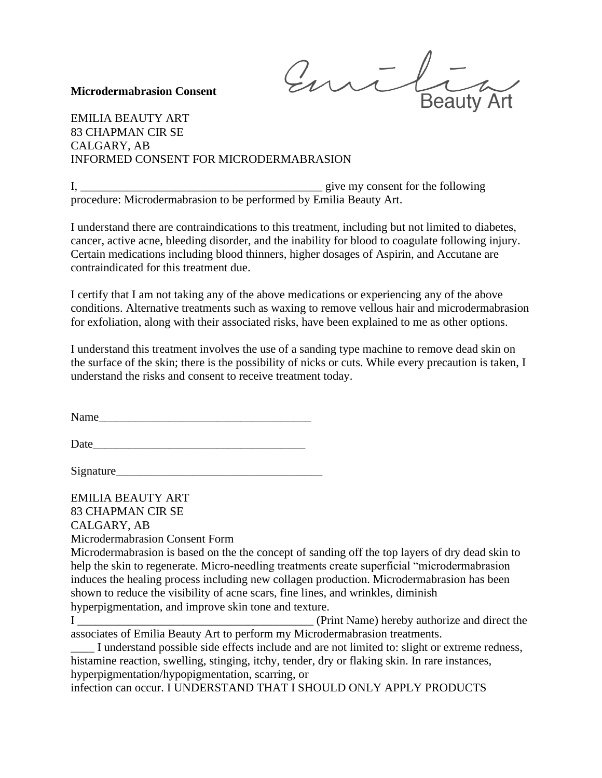milia **Beauty Art** 

## **Microdermabrasion Consent**

EMILIA BEAUTY ART 83 CHAPMAN CIR SE CALGARY, AB INFORMED CONSENT FOR MICRODERMABRASION

I, *\_\_\_\_\_\_\_\_\_\_\_\_\_\_\_\_\_\_\_\_\_\_\_\_\_\_\_\_\_\_\_\_\_\_\_\_\_\_\_\_\_* give my consent for the following procedure: Microdermabrasion to be performed by Emilia Beauty Art.

I understand there are contraindications to this treatment, including but not limited to diabetes, cancer, active acne, bleeding disorder, and the inability for blood to coagulate following injury. Certain medications including blood thinners, higher dosages of Aspirin, and Accutane are contraindicated for this treatment due.

I certify that I am not taking any of the above medications or experiencing any of the above conditions. Alternative treatments such as waxing to remove vellous hair and microdermabrasion for exfoliation, along with their associated risks, have been explained to me as other options.

I understand this treatment involves the use of a sanding type machine to remove dead skin on the surface of the skin; there is the possibility of nicks or cuts. While every precaution is taken, I understand the risks and consent to receive treatment today.

Name

Date

Signature\_\_\_\_\_\_\_\_\_\_\_\_\_\_\_\_\_\_\_\_\_\_\_\_\_\_\_\_\_\_\_\_\_\_\_

EMILIA BEAUTY ART 83 CHAPMAN CIR SE CALGARY, AB

Microdermabrasion Consent Form

Microdermabrasion is based on the the concept of sanding off the top layers of dry dead skin to help the skin to regenerate. Micro-needling treatments create superficial "microdermabrasion induces the healing process including new collagen production. Microdermabrasion has been shown to reduce the visibility of acne scars, fine lines, and wrinkles, diminish hyperpigmentation, and improve skin tone and texture.

I *\_\_\_\_\_\_\_\_\_\_\_\_\_\_\_\_\_\_\_\_\_\_\_\_\_\_\_\_\_\_\_\_\_\_\_\_\_\_\_\_* (Print Name) hereby authorize and direct the associates of Emilia Beauty Art to perform my Microdermabrasion treatments.

I understand possible side effects include and are not limited to: slight or extreme redness, histamine reaction, swelling, stinging, itchy, tender, dry or flaking skin. In rare instances, hyperpigmentation/hypopigmentation, scarring, or

infection can occur. I UNDERSTAND THAT I SHOULD ONLY APPLY PRODUCTS